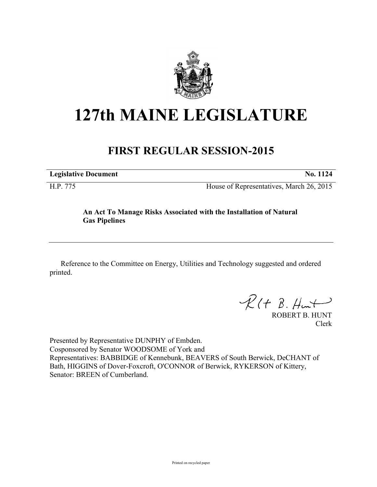

## **127th MAINE LEGISLATURE**

## **FIRST REGULAR SESSION-2015**

**Legislative Document No. 1124**

H.P. 775 House of Representatives, March 26, 2015

## **An Act To Manage Risks Associated with the Installation of Natural Gas Pipelines**

Reference to the Committee on Energy, Utilities and Technology suggested and ordered printed.

 $\mathcal{R}(t \; \mathcal{B}, \mathcal{H}_{\mathsf{int}})$ 

ROBERT B. HUNT Clerk

Presented by Representative DUNPHY of Embden. Cosponsored by Senator WOODSOME of York and Representatives: BABBIDGE of Kennebunk, BEAVERS of South Berwick, DeCHANT of Bath, HIGGINS of Dover-Foxcroft, O'CONNOR of Berwick, RYKERSON of Kittery, Senator: BREEN of Cumberland.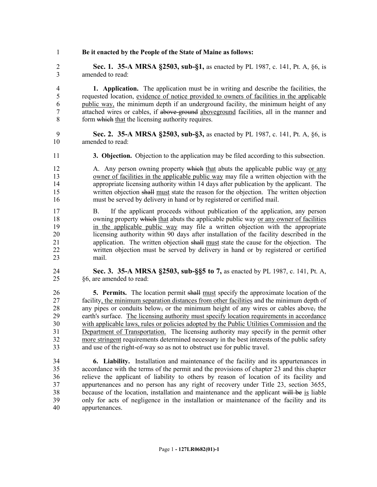**Be it enacted by the People of the State of Maine as follows:**

 **Sec. 1. 35-A MRSA §2503, sub-§1,** as enacted by PL 1987, c. 141, Pt. A, §6, is amended to read:

 **1. Application.** The application must be in writing and describe the facilities, the requested location, evidence of notice provided to owners of facilities in the applicable public way, the minimum depth if an underground facility, the minimum height of any attached wires or cables, if above-ground aboveground facilities, all in the manner and form which that the licensing authority requires.

- **Sec. 2. 35-A MRSA §2503, sub-§3,** as enacted by PL 1987, c. 141, Pt. A, §6, is amended to read:
- **3. Objection.** Objection to the application may be filed according to this subsection.

12 A. Any person owning property which that abuts the applicable public way or any owner of facilities in the applicable public way may file a written objection with the appropriate licensing authority within 14 days after publication by the applicant. The written objection shall must state the reason for the objection. The written objection must be served by delivery in hand or by registered or certified mail.

 B. If the applicant proceeds without publication of the application, any person 18 owning property which that abuts the applicable public way or any owner of facilities in the applicable public way may file a written objection with the appropriate licensing authority within 90 days after installation of the facility described in the application. The written objection shall must state the cause for the objection. The written objection must be served by delivery in hand or by registered or certified mail.

 **Sec. 3. 35-A MRSA §2503, sub-§§5 to 7,** as enacted by PL 1987, c. 141, Pt. A, §6, are amended to read:

 **5. Permits.** The location permit shall must specify the approximate location of the facility, the minimum separation distances from other facilities and the minimum depth of any pipes or conduits below, or the minimum height of any wires or cables above, the earth's surface. The licensing authority must specify location requirements in accordance with applicable laws, rules or policies adopted by the Public Utilities Commission and the 31 Department of Transportation. The licensing authority may specify in the permit other more stringent requirements determined necessary in the best interests of the public safety and use of the right-of-way so as not to obstruct use for public travel.

 **6. Liability.** Installation and maintenance of the facility and its appurtenances in accordance with the terms of the permit and the provisions of chapter 23 and this chapter relieve the applicant of liability to others by reason of location of its facility and appurtenances and no person has any right of recovery under Title 23, section 3655, because of the location, installation and maintenance and the applicant will be is liable only for acts of negligence in the installation or maintenance of the facility and its appurtenances.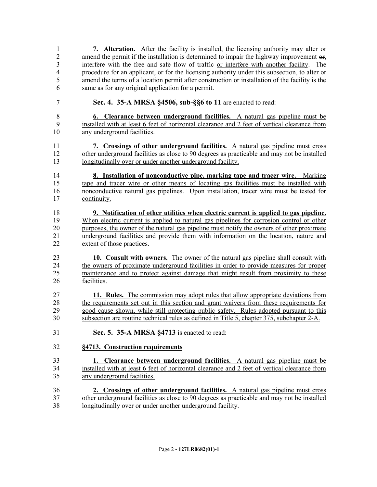**7. Alteration.** After the facility is installed, the licensing authority may alter or amend the permit if the installation is determined to impair the highway improvement or, interfere with the free and safe flow of traffic or interfere with another facility. The procedure for an applicant, or for the licensing authority under this subsection, to alter or amend the terms of a location permit after construction or installation of the facility is the same as for any original application for a permit.

**Sec. 4. 35-A MRSA §4506, sub-§§6 to 11** are enacted to read:

 **6. Clearance between underground facilities.** A natural gas pipeline must be installed with at least 6 feet of horizontal clearance and 2 feet of vertical clearance from any underground facilities.

 **7. Crossings of other underground facilities.** A natural gas pipeline must cross other underground facilities as close to 90 degrees as practicable and may not be installed 13 longitudinally over or under another underground facility.

 **8. Installation of nonconductive pipe, marking tape and tracer wire.** Marking tape and tracer wire or other means of locating gas facilities must be installed with nonconductive natural gas pipelines. Upon installation, tracer wire must be tested for continuity.

18 **9. Notification of other utilities when electric current is applied to gas pipeline.**<br>19 When electric current is applied to natural gas pipelines for corrosion control or other When electric current is applied to natural gas pipelines for corrosion control or other purposes, the owner of the natural gas pipeline must notify the owners of other proximate 21 underground facilities and provide them with information on the location, nature and extent of those practices extent of those practices.

 **10. Consult with owners.** The owner of the natural gas pipeline shall consult with the owners of proximate underground facilities in order to provide measures for proper maintenance and to protect against damage that might result from proximity to these facilities.

 **11. Rules.** The commission may adopt rules that allow appropriate deviations from the requirements set out in this section and grant waivers from these requirements for good cause shown, while still protecting public safety. Rules adopted pursuant to this subsection are routine technical rules as defined in Title 5, chapter 375, subchapter 2-A.

- **Sec. 5. 35-A MRSA §4713** is enacted to read:
- **§4713. Construction requirements**
- **1. Clearance between underground facilities.** A natural gas pipeline must be installed with at least 6 feet of horizontal clearance and 2 feet of vertical clearance from any underground facilities.
- **2. Crossings of other underground facilities.** A natural gas pipeline must cross other underground facilities as close to 90 degrees as practicable and may not be installed longitudinally over or under another underground facility.